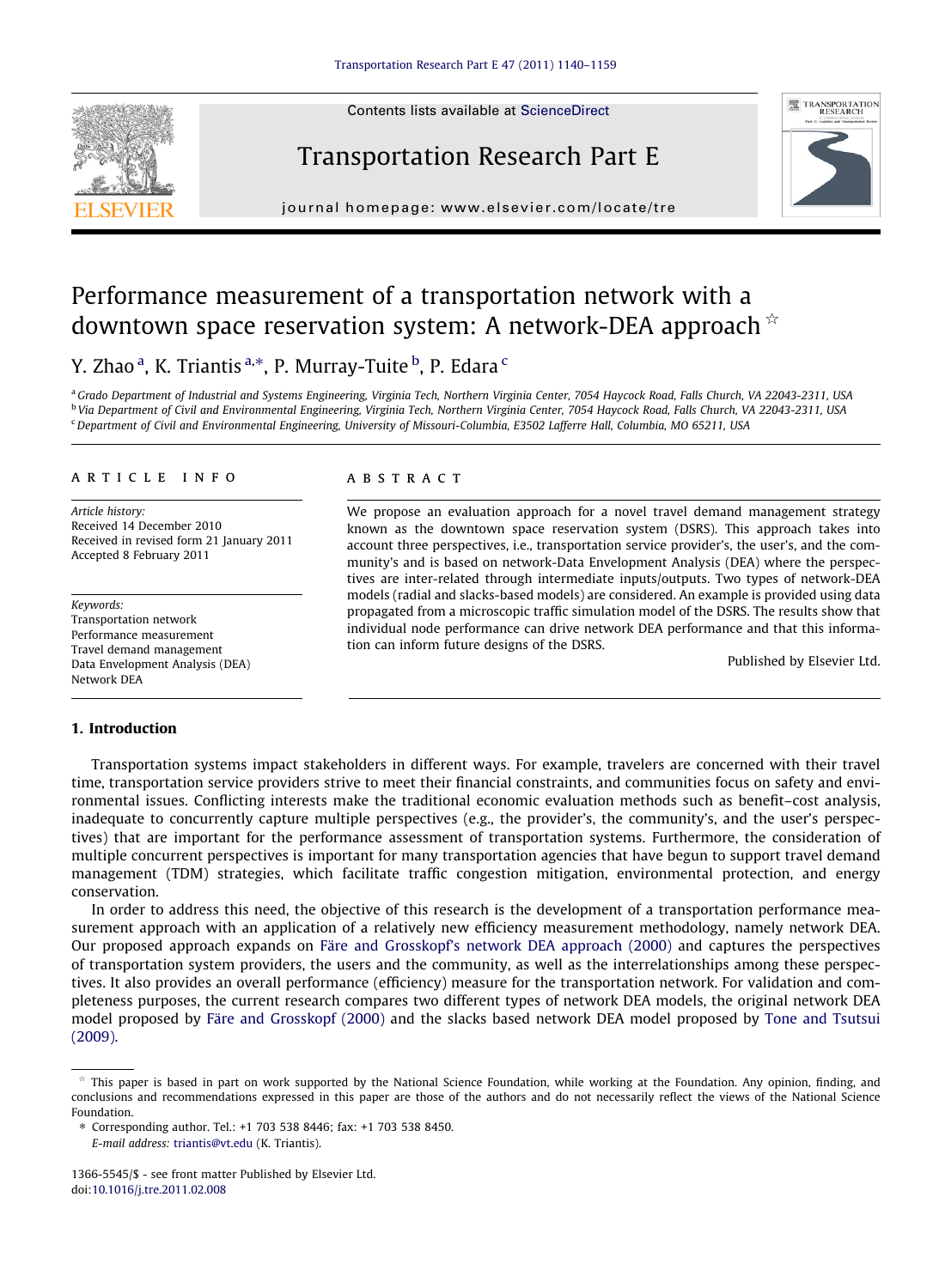Contents lists available at [ScienceDirect](http://www.sciencedirect.com/science/journal/13665545)







journal homepage: [www.elsevier.com/locate/tre](http://www.elsevier.com/locate/tre)

## Performance measurement of a transportation network with a downtown space reservation system: A network-DEA approach  $\dot{\mathbb{R}}$

### Y. Zhao <sup>a</sup>, K. Triantis <sup>a,</sup>\*, P. Murray-Tuite <sup>b</sup>, P. Edara <sup>c</sup>

a Grado Department of Industrial and Systems Engineering, Virginia Tech, Northern Virginia Center, 7054 Haycock Road, Falls Church, VA 22043-2311, USA <sup>b</sup> Via Department of Civil and Environmental Engineering, Virginia Tech, Northern Virginia Center, 7054 Haycock Road, Falls Church, VA 22043-2311, USA  $c$ Department of Civil and Environmental Engineering, University of Missouri-Columbia, E3502 Lafferre Hall, Columbia, MO 65211, USA

#### article info

Article history: Received 14 December 2010 Received in revised form 21 January 2011 Accepted 8 February 2011

Keywords: Transportation network Performance measurement Travel demand management Data Envelopment Analysis (DEA) Network DEA

#### 1. Introduction

#### **ABSTRACT**

We propose an evaluation approach for a novel travel demand management strategy known as the downtown space reservation system (DSRS). This approach takes into account three perspectives, i.e., transportation service provider's, the user's, and the community's and is based on network-Data Envelopment Analysis (DEA) where the perspectives are inter-related through intermediate inputs/outputs. Two types of network-DEA models (radial and slacks-based models) are considered. An example is provided using data propagated from a microscopic traffic simulation model of the DSRS. The results show that individual node performance can drive network DEA performance and that this information can inform future designs of the DSRS.

Published by Elsevier Ltd.

Transportation systems impact stakeholders in different ways. For example, travelers are concerned with their travel time, transportation service providers strive to meet their financial constraints, and communities focus on safety and environmental issues. Conflicting interests make the traditional economic evaluation methods such as benefit–cost analysis, inadequate to concurrently capture multiple perspectives (e.g., the provider's, the community's, and the user's perspectives) that are important for the performance assessment of transportation systems. Furthermore, the consideration of multiple concurrent perspectives is important for many transportation agencies that have begun to support travel demand management (TDM) strategies, which facilitate traffic congestion mitigation, environmental protection, and energy conservation.

In order to address this need, the objective of this research is the development of a transportation performance measurement approach with an application of a relatively new efficiency measurement methodology, namely network DEA. Our proposed approach expands on [Färe and Grosskopf's network DEA approach \(2000\)](#page--1-0) and captures the perspectives of transportation system providers, the users and the community, as well as the interrelationships among these perspectives. It also provides an overall performance (efficiency) measure for the transportation network. For validation and completeness purposes, the current research compares two different types of network DEA models, the original network DEA model proposed by [Färe and Grosskopf \(2000\)](#page--1-0) and the slacks based network DEA model proposed by [Tone and Tsutsui](#page--1-0) [\(2009\)](#page--1-0).

⇑ Corresponding author. Tel.: +1 703 538 8446; fax: +1 703 538 8450.

E-mail address: [triantis@vt.edu](mailto:triantis@vt.edu) (K. Triantis).

 $*$  This paper is based in part on work supported by the National Science Foundation, while working at the Foundation. Any opinion, finding, and conclusions and recommendations expressed in this paper are those of the authors and do not necessarily reflect the views of the National Science Foundation.

<sup>1366-5545/\$ -</sup> see front matter Published by Elsevier Ltd. doi[:10.1016/j.tre.2011.02.008](http://dx.doi.org/10.1016/j.tre.2011.02.008)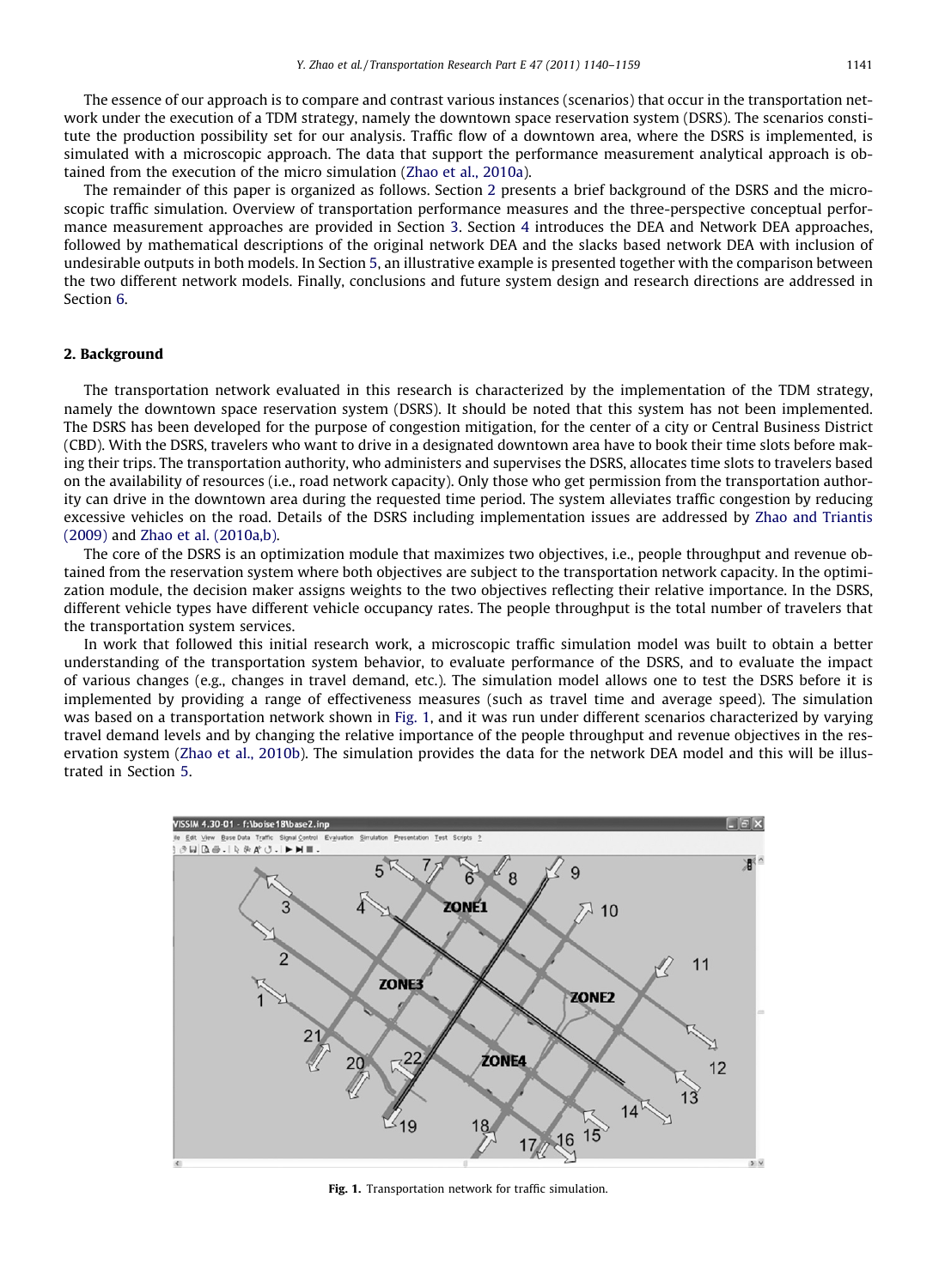The essence of our approach is to compare and contrast various instances (scenarios) that occur in the transportation network under the execution of a TDM strategy, namely the downtown space reservation system (DSRS). The scenarios constitute the production possibility set for our analysis. Traffic flow of a downtown area, where the DSRS is implemented, is simulated with a microscopic approach. The data that support the performance measurement analytical approach is obtained from the execution of the micro simulation [\(Zhao et al., 2010a\)](#page--1-0).

The remainder of this paper is organized as follows. Section 2 presents a brief background of the DSRS and the microscopic traffic simulation. Overview of transportation performance measures and the three-perspective conceptual performance measurement approaches are provided in Section 3. Section 4 introduces the DEA and Network DEA approaches, followed by mathematical descriptions of the original network DEA and the slacks based network DEA with inclusion of undesirable outputs in both models. In Section 5, an illustrative example is presented together with the comparison between the two different network models. Finally, conclusions and future system design and research directions are addressed in Section 6.

#### 2. Background

The transportation network evaluated in this research is characterized by the implementation of the TDM strategy, namely the downtown space reservation system (DSRS). It should be noted that this system has not been implemented. The DSRS has been developed for the purpose of congestion mitigation, for the center of a city or Central Business District (CBD). With the DSRS, travelers who want to drive in a designated downtown area have to book their time slots before making their trips. The transportation authority, who administers and supervises the DSRS, allocates time slots to travelers based on the availability of resources (i.e., road network capacity). Only those who get permission from the transportation authority can drive in the downtown area during the requested time period. The system alleviates traffic congestion by reducing excessive vehicles on the road. Details of the DSRS including implementation issues are addressed by [Zhao and Triantis](#page--1-0) [\(2009\)](#page--1-0) and [Zhao et al. \(2010a,b\)](#page--1-0).

The core of the DSRS is an optimization module that maximizes two objectives, i.e., people throughput and revenue obtained from the reservation system where both objectives are subject to the transportation network capacity. In the optimization module, the decision maker assigns weights to the two objectives reflecting their relative importance. In the DSRS, different vehicle types have different vehicle occupancy rates. The people throughput is the total number of travelers that the transportation system services.

In work that followed this initial research work, a microscopic traffic simulation model was built to obtain a better understanding of the transportation system behavior, to evaluate performance of the DSRS, and to evaluate the impact of various changes (e.g., changes in travel demand, etc.). The simulation model allows one to test the DSRS before it is implemented by providing a range of effectiveness measures (such as travel time and average speed). The simulation was based on a transportation network shown in Fig. 1, and it was run under different scenarios characterized by varying travel demand levels and by changing the relative importance of the people throughput and revenue objectives in the reservation system ([Zhao et al., 2010b\)](#page--1-0). The simulation provides the data for the network DEA model and this will be illustrated in Section 5.



Fig. 1. Transportation network for traffic simulation.